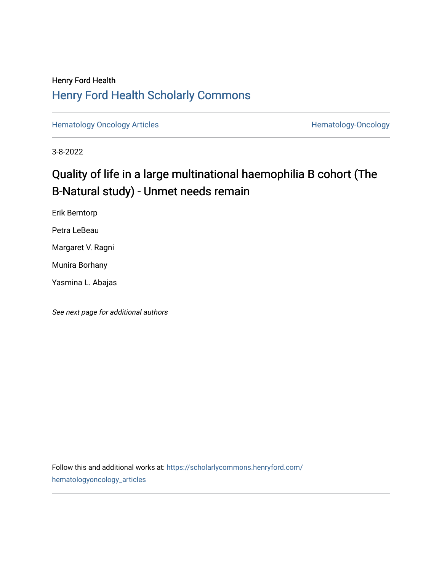### Henry Ford Health [Henry Ford Health Scholarly Commons](https://scholarlycommons.henryford.com/)

[Hematology Oncology Articles](https://scholarlycommons.henryford.com/hematologyoncology_articles) **Hematology-Oncology** 

3-8-2022

### Quality of life in a large multinational haemophilia B cohort (The B-Natural study) - Unmet needs remain

Erik Berntorp

Petra LeBeau

Margaret V. Ragni

Munira Borhany

Yasmina L. Abajas

See next page for additional authors

Follow this and additional works at: [https://scholarlycommons.henryford.com/](https://scholarlycommons.henryford.com/hematologyoncology_articles?utm_source=scholarlycommons.henryford.com%2Fhematologyoncology_articles%2F237&utm_medium=PDF&utm_campaign=PDFCoverPages) [hematologyoncology\\_articles](https://scholarlycommons.henryford.com/hematologyoncology_articles?utm_source=scholarlycommons.henryford.com%2Fhematologyoncology_articles%2F237&utm_medium=PDF&utm_campaign=PDFCoverPages)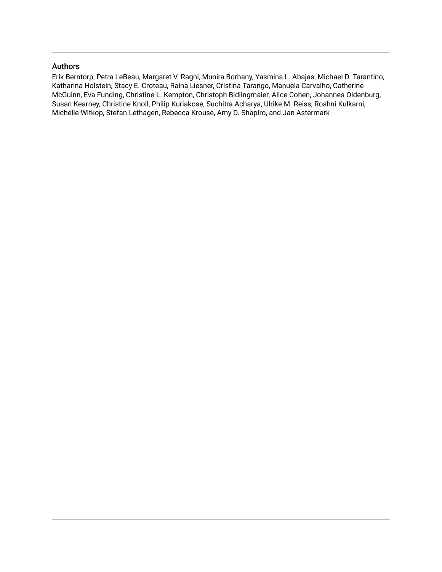#### Authors

Erik Berntorp, Petra LeBeau, Margaret V. Ragni, Munira Borhany, Yasmina L. Abajas, Michael D. Tarantino, Katharina Holstein, Stacy E. Croteau, Raina Liesner, Cristina Tarango, Manuela Carvalho, Catherine McGuinn, Eva Funding, Christine L. Kempton, Christoph Bidlingmaier, Alice Cohen, Johannes Oldenburg, Susan Kearney, Christine Knoll, Philip Kuriakose, Suchitra Acharya, Ulrike M. Reiss, Roshni Kulkarni, Michelle Witkop, Stefan Lethagen, Rebecca Krouse, Amy D. Shapiro, and Jan Astermark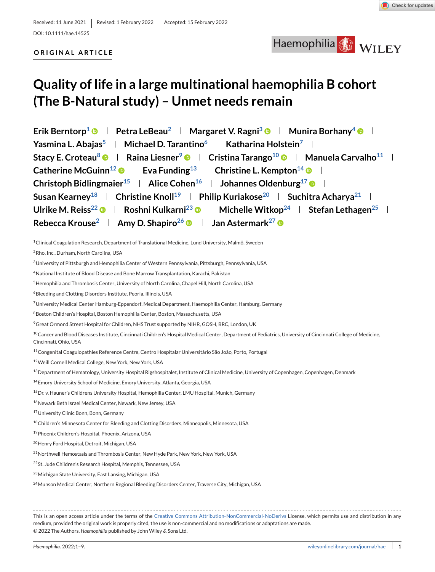DOI: 10.1111/hae.14525

#### **ORIGINAL ARTICLE**

## Haemophilia WILEY

## **Quality of life in a large multinational haemophilia B cohort (The B-Natural study) – Unmet needs remain**

**Erik Berntorp<sup>1</sup>**  $\bullet$  **| Petra LeBeau<sup>2</sup> | Margaret V. Ragni<sup>3</sup>**  $\bullet$  **| Munira Borhany<sup>4</sup>**  $\bullet$  **| Yasmina L. Abajas<sup>5</sup> | Michael D. Tarantino<sup>6</sup> | Katharina Holstein<sup>7</sup> | Stacy E. Croteau<sup>8</sup> • Raina Liesner<sup>9</sup> • Cristina Tarango<sup>10</sup> • Manuela Carvalho<sup>11</sup> · Catherine McGuinn<sup>12</sup> • Eva Funding<sup>13</sup> Christine L. Kempton<sup>14</sup> • Exampton 14 Christoph Bidlingmaier<sup>15</sup> | Alice Cohen<sup>16</sup> | Johannes Oldenburg<sup>17</sup> © | Susan Kearney<sup>18</sup> | Christine Knoll<sup>19</sup> | Philip Kuriakose<sup>20</sup> | Suchitra Acharya<sup>21</sup> |** Ulrike M. Reiss<sup>22</sup> **B** Roshni Kulkarni<sup>23</sup> **B** Nichelle Witkop<sup>24</sup> Stefan Lethagen<sup>25</sup> **Rebecca Krouse<sup>2</sup> | Amy D. Shapiro<sup>26</sup> © | Jan Astermark<sup>27</sup> ©** 

<sup>1</sup>Clinical Coagulation Research, Department of Translational Medicine, Lund University, Malmö, Sweden

3University of Pittsburgh and Hemophilia Center of Western Pennsylvania, Pittsburgh, Pennsylvania, USA

7University Medical Center Hamburg-Eppendorf, Medical Department, Haemophilia Center, Hamburg, Germany

<sup>9</sup> Great Ormond Street Hospital for Children, NHS Trust supported by NIHR, GOSH, BRC, London, UK

<sup>10</sup>Cancer and Blood Diseases Institute, Cincinnati Children's Hospital Medical Center, Department of Pediatrics, University of Cincinnati College of Medicine, Cincinnati, Ohio, USA

11Congenital Coagulopathies Reference Centre, Centro Hospitalar Universitário São João, Porto, Portugal

12Weill Cornell Medical College, New York, New York, USA

<sup>13</sup> Department of Hematology, University Hospital Rigshospitalet, Institute of Clinical Medicine, University of Copenhagen, Copenhagen, Denmark

- 14Emory University School of Medicine, Emory University, Atlanta, Georgia, USA
- 15 Dr. v. Hauner's Childrens University Hospital, Hemophilia Center, LMU Hospital, Munich, Germany

<sup>16</sup>Newark Beth Israel Medical Center, Newark, New Jersey, USA

<sup>18</sup>Children's Minnesota Center for Bleeding and Clotting Disorders, Minneapolis, Minnesota, USA

19Phoenix Children's Hospital, Phoenix, Arizona, USA

20Henry Ford Hospital, Detroit, Michigan, USA

<sup>21</sup>Northwell Hemostasis and Thrombosis Center, New Hyde Park, New York, New York, USA

22St. Jude Children's Research Hospital, Memphis, Tennessee, USA

23Michigan State University, East Lansing, Michigan, USA

<sup>24</sup> Munson Medical Center, Northern Regional Bleeding Disorders Center, Traverse City, Michigan, USA

This is an open access article under the terms of the [Creative Commons Attribution-NonCommercial-NoDerivs](http://creativecommons.org/licenses/by-nc-nd/4.0/) License, which permits use and distribution in any medium, provided the original work is properly cited, the use is non-commercial and no modifications or adaptations are made. © 2022 The Authors. *Haemophilia* published by John Wiley & Sons Ltd.

<sup>2</sup>Rho, Inc., Durham, North Carolina, USA

<sup>4</sup>National Institute of Blood Disease and Bone Marrow Transplantation, Karachi, Pakistan

<sup>5</sup>Hemophilia and Thrombosis Center, University of North Carolina, Chapel Hill, North Carolina, USA

<sup>6</sup>Bleeding and Clotting Disorders Institute, Peoria, Illinois, USA

<sup>8</sup>Boston Children's Hospital, Boston Hemophilia Center, Boston, Massachusetts, USA

<sup>17</sup>University Clinic Bonn, Bonn, Germany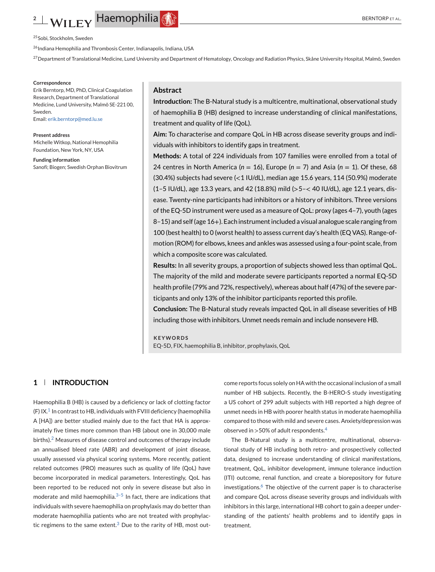## <span id="page-3-0"></span>**2** BERNTORP ET AL. **PLACE HOSP ET AL. BERNTORP ET AL.**

<sup>25</sup> Sobi, Stockholm, Sweden

<sup>26</sup> Indiana Hemophilia and Thrombosis Center, Indianapolis, Indiana, USA

<sup>27</sup> Department of Translational Medicine, Lund University and Department of Hematology, Oncology and Radiation Physics, Skåne University Hospital, Malmö, Sweden

#### **Correspondence**

Erik Berntorp, MD, PhD, Clinical Coagulation Research, Department of Translational Medicine, Lund University, Malmö SE-221 00, Sweden. Email: [erik.berntorp@med.lu.se](mailto:erik.berntorp@med.lu.se)

**Present address** Michelle Witkop, National Hemophilia Foundation, New York, NY, USA

**Funding information** Sanofi; Biogen; Swedish Orphan Biovitrum

#### **Abstract**

**Introduction:** The B-Natural study is a multicentre, multinational, observational study of haemophilia B (HB) designed to increase understanding of clinical manifestations, treatment and quality of life (QoL).

**Aim:** To characterise and compare QoL in HB across disease severity groups and individuals with inhibitors to identify gaps in treatment.

**Methods:** A total of 224 individuals from 107 families were enrolled from a total of 24 centres in North America ( $n = 16$ ), Europe ( $n = 7$ ) and Asia ( $n = 1$ ). Of these, 68 (30.4%) subjects had severe (<1 IU/dL), median age 15.6 years, 114 (50.9%) moderate (1–5 IU/dL), age 13.3 years, and 42 (18.8%) mild (>5–< 40 IU/dL), age 12.1 years, disease. Twenty-nine participants had inhibitors or a history of inhibitors. Three versions of the EQ-5D instrument were used as a measure of QoL: proxy (ages 4–7), youth (ages 8–15) and self (age 16+). Each instrument included a visual analogue scale ranging from 100 (best health) to 0 (worst health) to assess current day's health (EQ VAS). Range-ofmotion (ROM) for elbows, knees and ankles was assessed using a four-point scale, from which a composite score was calculated.

**Results:** In all severity groups, a proportion of subjects showed less than optimal QoL. The majority of the mild and moderate severe participants reported a normal EQ-5D health profile (79% and 72%, respectively), whereas about half (47%) of the severe participants and only 13% of the inhibitor participants reported this profile.

**Conclusion:** The B-Natural study reveals impacted QoL in all disease severities of HB including those with inhibitors. Unmet needs remain and include nonsevere HB.

**KEYWORDS**

EQ-5D, FIX, haemophilia B, inhibitor, prophylaxis, QoL

#### **1 INTRODUCTION**

Haemophilia B (HB) is caused by a deficiency or lack of clotting factor (F)  $IX<sup>1</sup>$  $IX<sup>1</sup>$  $IX<sup>1</sup>$  In contrast to HB, individuals with FVIII deficiency (haemophilia A [HA]) are better studied mainly due to the fact that HA is approximately five times more common than HB (about one in 30,000 male births).<sup>2</sup> Measures of disease control and outcomes of therapy include an annualised bleed rate (ABR) and development of joint disease, usually assessed via physical scoring systems. More recently, patient related outcomes (PRO) measures such as quality of life (QoL) have become incorporated in medical parameters. Interestingly, QoL has been reported to be reduced not only in severe disease but also in moderate and mild haemophilia. $3-5$  In fact, there are indications that individuals with severe haemophilia on prophylaxis may do better than moderate haemophilia patients who are not treated with prophylactic regimens to the same extent. $3$  Due to the rarity of HB, most outcome reports focus solely on HA with the occasional inclusion of a small number of HB subjects. Recently, the B-HERO-S study investigating a US cohort of 299 adult subjects with HB reported a high degree of unmet needs in HB with poorer health status in moderate haemophilia compared to those with mild and severe cases. Anxiety/depression was observed in  $>50\%$  of adult respondents.<sup>[4](#page-10-0)</sup>

The B-Natural study is a multicentre, multinational, observational study of HB including both retro- and prospectively collected data, designed to increase understanding of clinical manifestations, treatment, QoL, inhibitor development, immune tolerance induction (ITI) outcome, renal function, and create a biorepository for future investigations.<sup>[6](#page-10-0)</sup> The objective of the current paper is to characterise and compare QoL across disease severity groups and individuals with inhibitors in this large, international HB cohort to gain a deeper understanding of the patients' health problems and to identify gaps in treatment.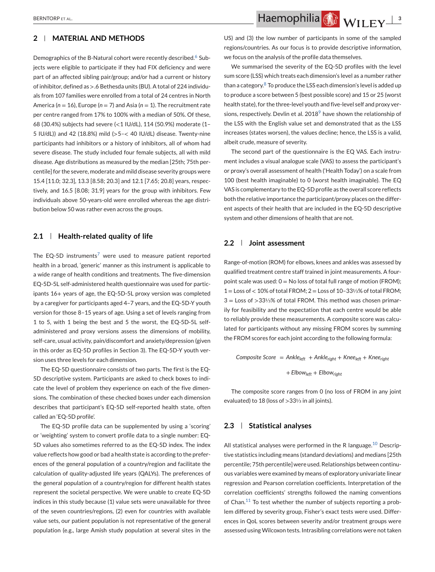#### **2 MATERIAL AND METHODS**

Demographics of the B-Natural cohort were recently described.<sup>[6](#page-10-0)</sup> Subjects were eligible to participate if they had FIX deficiency and were part of an affected sibling pair/group; and/or had a current or history of inhibitor, defined as >.6 Bethesda units (BU). A total of 224 individuals from 107 families were enrolled from a total of 24 centres in North America ( $n = 16$ ), Europe ( $n = 7$ ) and Asia ( $n = 1$ ). The recruitment rate per centre ranged from 17% to 100% with a median of 50%. Of these, 68 (30.4%) subjects had severe (<1 IU/dL), 114 (50.9%) moderate (1– 5 IU/dL)) and 42 (18.8%) mild (>5–< 40 IU/dL) disease. Twenty-nine participants had inhibitors or a history of inhibitors, all of whom had severe disease. The study included four female subjects, all with mild disease. Age distributions as measured by the median [25th; 75th percentile] for the severe, moderate and mild disease severity groups were 15.4 [11.0; 32.3], 13.3 [8.58; 20.3] and 12.1 [7.65; 20.8] years, respectively, and 16.5 [8.08; 31.9] years for the group with inhibitors. Few individuals above 50-years-old were enrolled whereas the age distribution below 50 was rather even across the groups.

#### **2.1 Health-related quality of life**

The EQ-5D instruments<sup>[7](#page-10-0)</sup> were used to measure patient reported health in a broad, 'generic' manner as this instrument is applicable to a wide range of health conditions and treatments. The five-dimension EQ-5D-5L self-administered health questionnaire was used for participants 16+ years of age, the EQ-5D-5L proxy version was completed by a caregiver for participants aged 4–7 years, and the EQ-5D-Y youth version for those 8–15 years of age. Using a set of levels ranging from 1 to 5, with 1 being the best and 5 the worst, the EQ-5D-5L selfadministered and proxy versions assess the dimensions of mobility, self-care, usual activity, pain/discomfort and anxiety/depression (given in this order as EQ-5D profiles in Section 3). The EQ-5D-Y youth version uses three levels for each dimension.

The EQ-5D questionnaire consists of two parts. The first is the EQ-5D descriptive system. Participants are asked to check boxes to indicate the level of problem they experience on each of the five dimensions. The combination of these checked boxes under each dimension describes that participant's EQ-5D self-reported health state, often called an 'EQ-5D profile'.

The EQ-5D profile data can be supplemented by using a 'scoring' or 'weighting' system to convert profile data to a single number: EQ-5D values also sometimes referred to as the EQ-5D index. The index value reflects how good or bad a health state is according to the preferences of the general population of a country/region and facilitate the calculation of quality-adjusted life years (QALYs). The preferences of the general population of a country/region for different health states represent the societal perspective. We were unable to create EQ-5D indices in this study because (1) value sets were unavailable for three of the seven countries/regions, (2) even for countries with available value sets, our patient population is not representative of the general population (e.g., large Amish study population at several sites in the

BERNTORPET AL. **3 ALL CONSTANTS AND REAL CONSTANTS AND REAL CONSTANTS AND REAL CONSTANTS AND REAL CONSTANTS AND REAL CONSTANTS AND REAL CONSTANTS AND REAL CONSTANTS AND REAL CONSTANTS AND REAL CONSTANTS AND REAL CONSTANT** 

US) and (3) the low number of participants in some of the sampled regions/countries. As our focus is to provide descriptive information, we focus on the analysis of the profile data themselves.

We summarised the severity of the EQ-5D profiles with the level sum score (LSS) which treats each dimension's level as a number rather than a category. $8$  To produce the LSS each dimension's level is added up to produce a score between 5 (best possible score) and 15 or 25 (worst health state), for the three-level youth and five-level self and proxy ver-sions, respectively. Devlin et al. 2018<sup>[9](#page-10-0)</sup> have shown the relationship of the LSS with the English value set and demonstrated that as the LSS increases (states worsen), the values decline; hence, the LSS is a valid, albeit crude, measure of severity.

The second part of the questionnaire is the EQ VAS. Each instrument includes a visual analogue scale (VAS) to assess the participant's or proxy's overall assessment of health ('Health Today') on a scale from 100 (best health imaginable) to 0 (worst health imaginable). The EQ VAS is complementary to the EQ-5D profile as the overall score reflects both the relative importance the participant/proxy places on the different aspects of their health that are included in the EQ-5D descriptive system and other dimensions of health that are not.

#### **2.2 Joint assessment**

Range-of-motion (ROM) for elbows, knees and ankles was assessed by qualified treatment centre staff trained in joint measurements. A fourpoint scale was used:  $0 = No$  loss of total full range of motion (FROM); 1 = Loss of < 10% of total FROM; 2 = Loss of 10–33⅓% of total FROM; 3 = Loss of >33⅓% of total FROM. This method was chosen primarily for feasibility and the expectation that each centre would be able to reliably provide these measurements. A composite score was calculated for participants without any missing FROM scores by summing the FROM scores for each joint according to the following formula:

*Composite Score* = *Ankleleft* + *Ankleright* + *Kneeleft* + *Kneeright* + *Elbowleft* + *Elbowright*

The composite score ranges from 0 (no loss of FROM in any joint evaluated) to 18 (loss of >33⅓ in all joints).

#### **2.3 Statistical analyses**

All statistical analyses were performed in the R language.<sup>[10](#page-10-0)</sup> Descriptive statistics including means (standard deviations) and medians [25th percentile; 75th percentile] were used. Relationships between continuous variables were examined by means of exploratory univariate linear regression and Pearson correlation coefficients. Interpretation of the correlation coefficients' strengths followed the naming conventions of Chan. $11$  To test whether the number of subjects reporting a problem differed by severity group, Fisher's exact tests were used. Differences in QoL scores between severity and/or treatment groups were assessed using Wilcoxon tests. Intrasibling correlations were not taken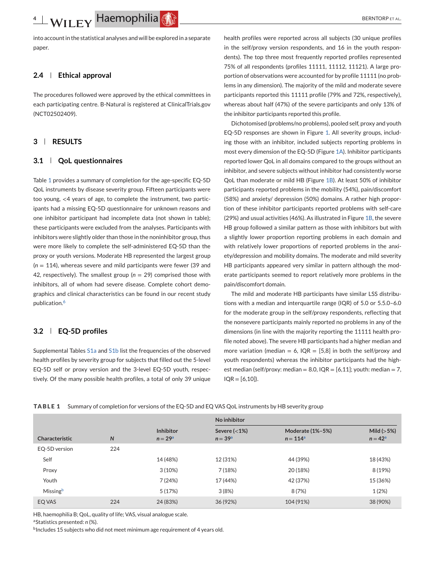into account in the statistical analyses and will be explored in a separate paper.

#### **2.4 Ethical approval**

The procedures followed were approved by the ethical committees in each participating centre. B-Natural is registered at ClinicalTrials.gov (NCT02502409).

#### **3 RESULTS**

#### **3.1 QoL questionnaires**

Table 1 provides a summary of completion for the age-specific EQ-5D QoL instruments by disease severity group. Fifteen participants were too young, <4 years of age, to complete the instrument, two participants had a missing EQ-5D questionnaire for unknown reasons and one inhibitor participant had incomplete data (not shown in table); these participants were excluded from the analyses. Participants with inhibitors were slightly older than those in the noninhibitor group, thus were more likely to complete the self-administered EQ-5D than the proxy or youth versions. Moderate HB represented the largest group (*n* = 114), whereas severe and mild participants were fewer (39 and 42, respectively). The smallest group ( $n = 29$ ) comprised those with inhibitors, all of whom had severe disease. Complete cohort demographics and clinical characteristics can be found in our recent study publication.<sup>[6](#page-10-0)</sup>

#### **3.2 EQ-5D profiles**

Supplemental Tables S1a and S1b list the frequencies of the observed health profiles by severity group for subjects that filled out the 5-level EQ-5D self or proxy version and the 3-level EQ-5D youth, respectively. Of the many possible health profiles, a total of only 39 unique health profiles were reported across all subjects (30 unique profiles in the self/proxy version respondents, and 16 in the youth respondents). The top three most frequently reported profiles represented 75% of all respondents (profiles 11111, 11112, 11121). A large proportion of observations were accounted for by profile 11111 (no problems in any dimension). The majority of the mild and moderate severe participants reported this 11111 profile (79% and 72%, respectively), whereas about half (47%) of the severe participants and only 13% of the inhibitor participants reported this profile.

Dichotomised (problems/no problems), pooled self, proxy and youth EQ-5D responses are shown in Figure [1.](#page-6-0) All severity groups, including those with an inhibitor, included subjects reporting problems in most every dimension of the EQ-5D (Figure [1A\)](#page-6-0). Inhibitor participants reported lower QoL in all domains compared to the groups without an inhibitor, and severe subjects without inhibitor had consistently worse QoL than moderate or mild HB (Figure [1B\)](#page-6-0). At least 50% of inhibitor participants reported problems in the mobility (54%), pain/discomfort (58%) and anxiety/ depression (50%) domains. A rather high proportion of these inhibitor participants reported problems with self-care (29%) and usual activities (46%). As illustrated in Figure [1B,](#page-6-0) the severe HB group followed a similar pattern as those with inhibitors but with a slightly lower proportion reporting problems in each domain and with relatively lower proportions of reported problems in the anxiety/depression and mobility domains. The moderate and mild severity HB participants appeared very similar in pattern although the moderate participants seemed to report relatively more problems in the pain/discomfort domain.

The mild and moderate HB participants have similar LSS distributions with a median and interquartile range (IQR) of 5.0 or 5.5.0–6.0 for the moderate group in the self/proxy respondents, reflecting that the nonsevere participants mainly reported no problems in any of the dimensions (in line with the majority reporting the 11111 health profile noted above). The severe HB participants had a higher median and more variation (median = 6,  $IQR = [5,8]$  in both the self/proxy and youth respondents) whereas the inhibitor participants had the highest median (self/proxy: median = 8.0,  $IQR = [6,11]$ ; youth: median = 7,  $IQR = [6, 10]$ ).

|  |  |  |  | TABLE 1 Summary of completion for versions of the EQ-5D and EQ VAS QoL instruments by HB severity group |
|--|--|--|--|---------------------------------------------------------------------------------------------------------|
|--|--|--|--|---------------------------------------------------------------------------------------------------------|

|                | N   |                               | No inhibitor                               |                                        |                           |  |
|----------------|-----|-------------------------------|--------------------------------------------|----------------------------------------|---------------------------|--|
| Characteristic |     | <b>Inhibitor</b><br>$n = 29a$ | Severe $\left( < 1\% \right)$<br>$n = 39a$ | <b>Moderate (1%-5%)</b><br>$n = 114^a$ | Mild $(>5%)$<br>$n = 42a$ |  |
| EQ-5D version  | 224 |                               |                                            |                                        |                           |  |
| Self           |     | 14 (48%)                      | 12 (31%)                                   | 44 (39%)                               | 18 (43%)                  |  |
| Proxy          |     | 3(10%)                        | 7(18%)                                     | 20 (18%)                               | 8 (19%)                   |  |
| Youth          |     | 7(24%)                        | 17 (44%)                                   | 42 (37%)                               | 15 (36%)                  |  |
| Missingb       |     | 5(17%)                        | 3(8%)                                      | 8(7%)                                  | 1(2%)                     |  |
| EQ VAS         | 224 | 24 (83%)                      | 36 (92%)                                   | 104 (91%)                              | 38 (90%)                  |  |

HB, haemophilia B; QoL, quality of life; VAS, visual analogue scale.

aStatistics presented: *n* (%).

<sup>b</sup>Includes 15 subjects who did not meet minimum age requirement of 4 years old.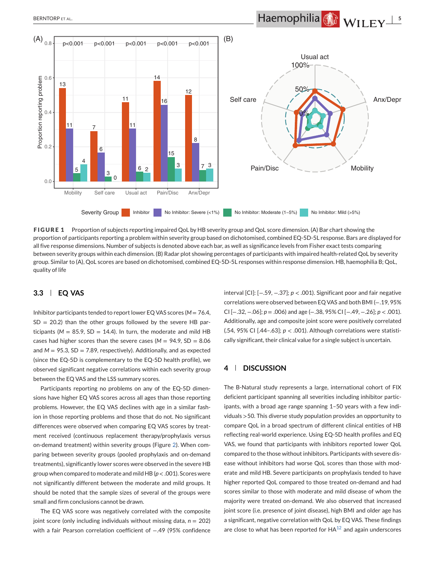# <span id="page-6-0"></span>BERNTORPET AL. **1999 - TERNTORPET AL. 5 Haemophilia** WILEY 5



**FIGURE 1** Proportion of subjects reporting impaired QoL by HB severity group and QoL score dimension. (A) Bar chart showing the proportion of participants reporting a problem within severity group based on dichotomised, combined EQ-5D-5L response. Bars are displayed for all five response dimensions. Number of subjects is denoted above each bar, as well as significance levels from Fisher exact tests comparing between severity groups within each dimension. (B) Radar plot showing percentages of participants with impaired health-related QoL by severity group. Similar to (A), QoL scores are based on dichotomised, combined EQ-5D-5L responses within response dimension. HB, haemophilia B; QoL, quality of life

#### **3.3 EQ VAS**

Inhibitor participants tended to report lower EQ VAS scores (*M* = 76.4,  $SD = 20.2$ ) than the other groups followed by the severe HB participants ( $M = 85.9$ , SD = 14.4). In turn, the moderate and mild HB cases had higher scores than the severe cases ( $M = 94.9$ , SD =  $8.06$ and  $M = 95.3$ ,  $SD = 7.89$ , respectively). Additionally, and as expected (since the EQ-5D is complementary to the EQ-5D health profile), we observed significant negative correlations within each severity group between the EQ VAS and the LSS summary scores.

Participants reporting no problems on any of the EQ-5D dimensions have higher EQ VAS scores across all ages than those reporting problems. However, the EQ VAS declines with age in a similar fashion in those reporting problems and those that do not. No significant differences were observed when comparing EQ VAS scores by treatment received (continuous replacement therapy/prophylaxis versus on-demand treatment) within severity groups (Figure [2\)](#page-7-0). When comparing between severity groups (pooled prophylaxis and on-demand treatments), significantly lower scores were observed in the severe HB group when compared to moderate and mild HB (*p* < .001). Scores were not significantly different between the moderate and mild groups. It should be noted that the sample sizes of several of the groups were small and firm conclusions cannot be drawn.

The EQ VAS score was negatively correlated with the composite joint score (only including individuals without missing data, *n* = 202) with a fair Pearson correlation coefficient of −.49 (95% confidence

interval [CI]: [−.59, −.37]; *p* < .001). Significant poor and fair negative correlations were observed between EQ VAS and both BMI (−.19, 95% CI [−.32, −.06]; *p* = .006) and age (−.38, 95% CI [−.49, −.26]; *p* < .001). Additionally, age and composite joint score were positively correlated (.54, 95% CI [.44–.63]; *p* < .001). Although correlations were statistically significant, their clinical value for a single subject is uncertain.

#### **4 DISCUSSION**

The B-Natural study represents a large, international cohort of FIX deficient participant spanning all severities including inhibitor participants, with a broad age range spanning 1–50 years with a few individuals >50. This diverse study population provides an opportunity to compare QoL in a broad spectrum of different clinical entities of HB reflecting real-world experience. Using EQ-5D health profiles and EQ VAS, we found that participants with inhibitors reported lower QoL compared to the those without inhibitors. Participants with severe disease without inhibitors had worse QoL scores than those with moderate and mild HB. Severe participants on prophylaxis tended to have higher reported QoL compared to those treated on-demand and had scores similar to those with moderate and mild disease of whom the majority were treated on-demand. We also observed that increased joint score (i.e. presence of joint disease), high BMI and older age has a significant, negative correlation with QoL by EQ VAS. These findings are close to what has been reported for  $HA^{12}$  $HA^{12}$  $HA^{12}$  and again underscores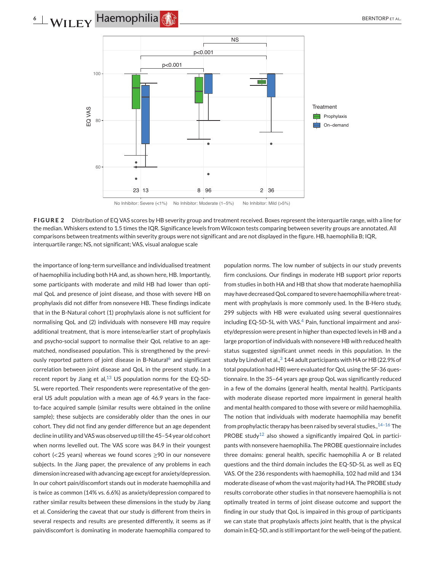## <span id="page-7-0"></span>**6** WILEY Haemophilia **CALL BERNTORPETAL**



**FIGURE 2** Distribution of EQ VAS scores by HB severity group and treatment received. Boxes represent the interquartile range, with a line for the median. Whiskers extend to 1.5 times the IQR. Significance levels from Wilcoxon tests comparing between severity groups are annotated. All comparisons between treatments within severity groups were not significant and are not displayed in the figure. HB, haemophilia B; IQR, interquartile range; NS, not significant; VAS, visual analogue scale

the importance of long-term surveillance and individualised treatment of haemophilia including both HA and, as shown here, HB. Importantly, some participants with moderate and mild HB had lower than optimal QoL and presence of joint disease, and those with severe HB on prophylaxis did not differ from nonsevere HB. These findings indicate that in the B-Natural cohort (1) prophylaxis alone is not sufficient for normalising QoL and (2) individuals with nonsevere HB may require additional treatment, that is more intense/earlier start of prophylaxis and psycho-social support to normalise their QoL relative to an agematched, nondiseased population. This is strengthened by the previously reported pattern of joint disease in B-Natural<sup>6</sup> and significant correlation between joint disease and QoL in the present study. In a recent report by Jiang et al, $^{13}$  $^{13}$  $^{13}$  US population norms for the EQ-5D-5L were reported. Their respondents were representative of the general US adult population with a mean age of 46.9 years in the faceto-face acquired sample (similar results were obtained in the online sample); these subjects are considerably older than the ones in our cohort. They did not find any gender difference but an age dependent decline in utility and VAS was observed up till the 45–54 year old cohort when norms levelled out. The VAS score was 84.9 in their youngest cohort (<25 years) whereas we found scores  $\geq$ 90 in our nonsevere subjects. In the Jiang paper, the prevalence of any problems in each dimension increased with advancing age except for anxiety/depression. In our cohort pain/discomfort stands out in moderate haemophilia and is twice as common (14% vs. 6.6%) as anxiety/depression compared to rather similar results between these dimensions in the study by Jiang et al. Considering the caveat that our study is different from theirs in several respects and results are presented differently, it seems as if pain/discomfort is dominating in moderate haemophilia compared to

population norms. The low number of subjects in our study prevents firm conclusions. Our findings in moderate HB support prior reports from studies in both HA and HB that show that moderate haemophilia may have decreased QoL compared to severe haemophilia where treatment with prophylaxis is more commonly used. In the B-Hero study, 299 subjects with HB were evaluated using several questionnaires including EQ-5D-5L with VAS. $4$  Pain, functional impairment and anxiety/depression were present in higher than expected levels in HB and a large proportion of individuals with nonsevere HB with reduced health status suggested significant unmet needs in this population. In the study by Lindvall et al.,<sup>[3](#page-10-0)</sup> 144 adult participants with HA or HB (22.9% of total population had HB) were evaluated for QoL using the SF-36 questionnaire. In the 35–64 years age group QoL was significantly reduced in a few of the domains (general health, mental health). Participants with moderate disease reported more impairment in general health and mental health compared to those with severe or mild haemophilia. The notion that individuals with moderate haemophilia may benefit from prophylactic therapy has been raised by several studies.,  $14-16$  The PROBE study<sup>[12](#page-10-0)</sup> also showed a significantly impaired QoL in participants with nonsevere haemophilia. The PROBE questionnaire includes three domains: general health, specific haemophilia A or B related questions and the third domain includes the EQ-5D-5L as well as EQ VAS. Of the 236 respondents with haemophilia, 102 had mild and 134 moderate disease of whom the vast majority had HA. The PROBE study results corroborate other studies in that nonsevere haemophilia is not optimally treated in terms of joint disease outcome and support the finding in our study that QoL is impaired in this group of participants we can state that prophylaxis affects joint health, that is the physical domain in EQ-5D, and is still important for the well-being of the patient.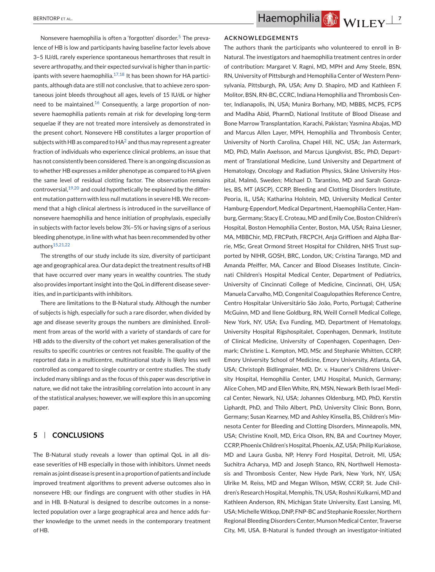Nonsevere haemophilia is often a 'forgotten' disorde[r.5](#page-10-0) The prevalence of HB is low and participants having baseline factor levels above 3–5 IU/dL rarely experience spontaneous hemarthroses that result in severe arthropathy, and their expected survival is higher than in participants with severe haemophilia. $17,18$  It has been shown for HA participants, although data are still not conclusive, that to achieve zero spontaneous joint bleeds throughout all ages, levels of 15 IU/dL or higher need to be maintained. $16$  Consequently, a large proportion of nonsevere haemophilia patients remain at risk for developing long-term sequelae if they are not treated more intensively as demonstrated in the present cohort. Nonsevere HB constitutes a larger proportion of subjects with HB as compared to  $HA^2$  $HA^2$  and thus may represent a greater fraction of individuals who experience clinical problems, an issue that has not consistently been considered. There is an ongoing discussion as to whether HB expresses a milder phenotype as compared to HA given the same level of residual clotting factor. The observation remains controversial, $19,20$  and could hypothetically be explained by the different mutation pattern with less null mutations in severe HB. We recommend that a high clinical alertness is introduced in the surveillance of nonsevere haemophilia and hence initiation of prophylaxis, especially in subjects with factor levels below 3%–5% or having signs of a serious bleeding phenotype, in line with what has been recommended by other authors<sup>15,21,22</sup>

The strengths of our study include its size, diversity of participant age and geographical area. Our data depict the treatment results of HB that have occurred over many years in wealthy countries. The study also provides important insight into the QoL in different disease severities, and in participants with inhibitors.

There are limitations to the B-Natural study. Although the number of subjects is high, especially for such a rare disorder, when divided by age and disease severity groups the numbers are diminished. Enrollment from areas of the world with a variety of standards of care for HB adds to the diversity of the cohort yet makes generalisation of the results to specific countries or centres not feasible. The quality of the reported data in a multicentre, multinational study is likely less well controlled as compared to single country or centre studies. The study included many siblings and as the focus of this paper was descriptive in nature, we did not take the intrasibling correlation into account in any of the statistical analyses; however, we will explore this in an upcoming paper.

#### **5 CONCLUSIONS**

The B-Natural study reveals a lower than optimal QoL in all disease severities of HB especially in those with inhibitors. Unmet needs remain as joint disease is present in a proportion of patients and include improved treatment algorithms to prevent adverse outcomes also in nonsevere HB; our findings are congruent with other studies in HA and in HB. B-Natural is designed to describe outcomes in a nonselected population over a large geographical area and hence adds further knowledge to the unmet needs in the contemporary treatment of HB.

#### **ACKNOWLEDGEMENTS**

The authors thank the participants who volunteered to enroll in B-Natural. The investigators and haemophilia treatment centres in order of contribution: Margaret V. Ragni, MD, MPH and Amy Steele, BSN, RN, University of Pittsburgh and Hemophilia Center of Western Pennsylvania, Pittsburgh, PA, USA; Amy D. Shapiro, MD and Kathleen F. Molitor, BSN, RN-BC, CCRC, Indiana Hemophilia and Thrombosis Center, Indianapolis, IN, USA; Munira Borhany, MD, MBBS, MCPS, FCPS and Madiha Abid, PharmD, National Institute of Blood Disease and Bone Marrow Transplantation, Karachi, Pakistan; Yasmina Abajas, MD and Marcus Allen Layer, MPH, Hemophilia and Thrombosis Center, University of North Carolina, Chapel Hill, NC, USA; Jan Astermark, MD, PhD, Malin Axelsson, and Marcus Ljungkvist, BSc, PhD, Department of Translational Medicine, Lund University and Department of Hematology, Oncology and Radiation Physics, Skåne University Hospital, Malmö, Sweden; Michael D. Tarantino, MD and Sarah Gonzales, BS, MT (ASCP), CCRP, Bleeding and Clotting Disorders Institute, Peoria, IL, USA; Katharina Holstein, MD, University Medical Center Hamburg-Eppendorf, Medical Department, Haemophilia Center, Hamburg, Germany; Stacy E. Croteau, MD and Emily Coe, Boston Children's Hospital, Boston Hemophilia Center, Boston, MA, USA; Raina Liesner, MA, MBBChir, MD, FRCPath, FRCPCH, Anja Griffioen and Alpha Barrie, MSc, Great Ormond Street Hospital for Children, NHS Trust supported by NIHR, GOSH, BRC, London, UK; Cristina Tarango, MD and Amanda Pfeiffer, MA, Cancer and Blood Diseases Institute, Cincinnati Children's Hospital Medical Center, Department of Pediatrics, University of Cincinnati College of Medicine, Cincinnati, OH, USA; Manuela Carvalho, MD, Congenital Coagulopathies Reference Centre, Centro Hospitalar Universitário São João, Porto, Portugal; Catherine McGuinn, MD and Ilene Goldburg, RN, Weill Cornell Medical College, New York, NY, USA; Eva Funding, MD, Department of Hematology, University Hospital Rigshospitalet, Copenhagen, Denmark, Institute of Clinical Medicine, University of Copenhagen, Copenhagen, Denmark; Christine L. Kempton, MD, MSc and Stephanie Whitten, CCRP, Emory University School of Medicine, Emory University, Atlanta, GA, USA; Christoph Bidlingmaier, MD, Dr. v. Hauner's Childrens University Hospital, Hemophilia Center, LMU Hospital, Munich, Germany; Alice Cohen, MD and Ellen White, RN, MSN, Newark Beth Israel Medical Center, Newark, NJ, USA; Johannes Oldenburg, MD, PhD, Kerstin Liphardt, PhD, and Thilo Albert, PhD, University Clinic Bonn, Bonn, Germany; Susan Kearney, MD and Ashley Kinsella, BS, Children's Minnesota Center for Bleeding and Clotting Disorders, Minneapolis, MN, USA; Christine Knoll, MD, Erica Olson, RN, BA and Courtney Moyer, CCRP, Phoenix Children's Hospital, Phoenix, AZ, USA; Philip Kuriakose, MD and Laura Gusba, NP, Henry Ford Hospital, Detroit, MI, USA; Suchitra Acharya, MD and Joseph Stanco, RN, Northwell Hemostasis and Thrombosis Center, New Hyde Park, New York, NY, USA; Ulrike M. Reiss, MD and Megan Wilson, MSW, CCRP, St. Jude Children's Research Hospital, Memphis, TN, USA; Roshni Kulkarni, MD and Kathleen Anderson, RN, Michigan State University, East Lansing, MI, USA;MichelleWitkop, DNP, FNP-BC and Stephanie Roessler, Northern Regional Bleeding Disorders Center, Munson Medical Center, Traverse City, MI, USA. B-Natural is funded through an investigator-initiated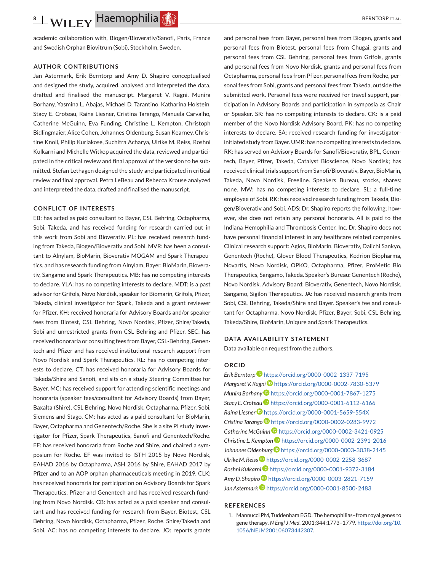<span id="page-9-0"></span>academic collaboration with, Biogen/Bioverativ/Sanofi, Paris, France and Swedish Orphan Biovitrum (Sobi), Stockholm, Sweden.

#### **AUTHOR CONTRIBUTIONS**

Jan Astermark, Erik Berntorp and Amy D. Shapiro conceptualised and designed the study, acquired, analysed and interpreted the data, drafted and finalised the manuscript. Margaret V. Ragni, Munira Borhany, Yasmina L. Abajas, Michael D. Tarantino, Katharina Holstein, Stacy E. Croteau, Raina Liesner, Cristina Tarango, Manuela Carvalho, Catherine McGuinn, Eva Funding, Christine L. Kempton, Christoph Bidlingmaier, Alice Cohen, Johannes Oldenburg, Susan Kearney, Christine Knoll, Philip Kuriakose, Suchitra Acharya, Ulrike M. Reiss, Roshni Kulkarni and Michelle Witkop acquired the data, reviewed and participated in the critical review and final approval of the version to be submitted. Stefan Lethagen designed the study and participated in critical review and final approval. Petra LeBeau and Rebecca Krouse analyzed and interpreted the data, drafted and finalised the manuscript.

#### **CONFLICT OF INTERESTS**

EB: has acted as paid consultant to Bayer, CSL Behring, Octapharma, Sobi, Takeda, and has received funding for research carried out in this work from Sobi and Bioverativ. PL: has received research funding from Takeda, Biogen/Bioverativ and Sobi. MVR: has been a consultant to Alnylam, BioMarin, Bioverativ MOGAM and Spark Therapeutics, and has research funding from Alnylam, Bayer, BioMarin, Bioverativ, Sangamo and Spark Therapeutics. MB: has no competing interests to declare. YLA: has no competing interests to declare. MDT: is a past advisor for Grifols, Novo Nordisk, speaker for Biomarin, Grifols, Pfizer, Takeda, clinical investigator for Spark, Takeda and a grant reviewer for Pfizer. KH: received honoraria for Advisory Boards and/or speaker fees from Biotest, CSL Behring, Novo Nordisk, Pfizer, Shire/Takeda, Sobi and unrestricted grants from CSL Behring and Pfizer. SEC: has received honoraria or consulting fees from Bayer, CSL-Behring, Genentech and Pfizer and has received institutional research support from Novo Nordisk and Spark Therapeutics. RL: has no competing interests to declare. CT: has received honoraria for Advisory Boards for Takeda/Shire and Sanofi, and sits on a study Steering Committee for Bayer. MC: has received support for attending scientific meetings and honoraria (speaker fees/consultant for Advisory Boards) from Bayer, Baxalta (Shire), CSL Behring, Novo Nordisk, Octapharma, Pfizer, Sobi, Siemens and Stago. CM: has acted as a paid consultant for BioMarin, Bayer, Octapharma and Genentech/Roche. She is a site PI study investigator for Pfizer, Spark Therapeutics, Sanofi and Genentech/Roche. EF: has received honoraria from Roche and Shire, and chaired a symposium for Roche. EF was invited to ISTH 2015 by Novo Nordisk, EAHAD 2016 by Octapharma, ASH 2016 by Shire, EAHAD 2017 by Pfizer and to an AOP orphan pharmaceuticals meeting in 2019. CLK: has received honoraria for participation on Advisory Boards for Spark Therapeutics, Pfizer and Genentech and has received research funding from Novo Nordisk. CB: has acted as a paid speaker and consultant and has received funding for research from Bayer, Biotest, CSL Behring, Novo Nordisk, Octapharma, Pfizer, Roche, Shire/Takeda and Sobi. AC: has no competing interests to declare. JO: reports grants

and personal fees from Bayer, personal fees from Biogen, grants and personal fees from Biotest, personal fees from Chugai, grants and personal fees from CSL Behring, personal fees from Grifols, grants and personal fees from Novo Nordisk, grants and personal fees from Octapharma, personal fees from Pfizer, personal fees from Roche, personal fees from Sobi, grants and personal fees from Takeda, outside the submitted work. Personal fees were received for travel support, participation in Advisory Boards and participation in symposia as Chair or Speaker. SK: has no competing interests to declare. CK: is a paid member of the Novo Nordisk Advisory Board. PK: has no competing interests to declare. SA: received research funding for investigatorinitiated study from Bayer. UMR: has no competing interests to declare. RK: has served on Advisory Boards for Sanofi/Bioverativ, BPL, Genentech, Bayer, Pfizer, Takeda, Catalyst Bioscience, Novo Nordisk; has received clinical trials support from Sanofi/Bioverativ, Bayer, BioMarin, Takeda, Novo Nordisk, Freeline. Speakers Bureau, stocks, shares: none. MW: has no competing interests to declare. SL: a full-time employee of Sobi. RK: has received research funding from Takeda, Biogen/Bioverativ and Sobi. ADS: Dr. Shapiro reports the following; however, she does not retain any personal honoraria. All is paid to the Indiana Hemophilia and Thrombosis Center, Inc. Dr. Shapiro does not have personal financial interest in any healthcare related companies. Clinical research support: Agios, BioMarin, Bioverativ, Daiichi Sankyo, Genentech (Roche), Glover Blood Therapeutics, Kedrion Biopharma, Novartis, Novo Nordisk, OPKO, Octapharma, Pfizer, ProMetic Bio Therapeutics, Sangamo, Takeda. Speaker's Bureau: Genentech (Roche), Novo Nordisk. Advisory Board: Bioverativ, Genentech, Novo Nordisk, Sangamo, Sigilon Therapeutics. JA: has received research grants from Sobi, CSL Behring, Takeda/Shire and Bayer. Speaker's fee and consultant for Octapharma, Novo Nordisk, Pfizer, Bayer, Sobi, CSL Behring, Takeda/Shire, BioMarin, Uniqure and Spark Therapeutics.

#### **DATA AVAILABILITY STATEMENT**

Data available on request from the authors.

#### **ORCID**

*Erik Berntorp* <https://orcid.org/0000-0002-1337-7195> *Margaret V. Ragn[i](https://orcid.org/0000-0002-7830-5379)* <https://orcid.org/0000-0002-7830-5379> *Munira Borhan[y](https://orcid.org/0000-0001-7867-1275)* <https://orcid.org/0000-0001-7867-1275> *Stacy E. Crotea[u](https://orcid.org/0000-0001-6112-6166)* <https://orcid.org/0000-0001-6112-6166> *Raina Liesner* <https://orcid.org/0000-0001-5659-554X> *Cristina Tarango* <https://orcid.org/0000-0002-0283-9972> *Catherine McGuin[n](https://orcid.org/0000-0002-3421-0925)* <https://orcid.org/0000-0002-3421-0925> *Christine L. Kempto[n](https://orcid.org/0000-0002-2391-2016)* <https://orcid.org/0000-0002-2391-2016> *Johannes Oldenbur[g](https://orcid.org/0000-0003-3038-2145)* <https://orcid.org/0000-0003-3038-2145> *Ulrike M. Reiss* **b** <https://orcid.org/0000-0002-2258-3687> *Roshni Kulkarni* <https://orcid.org/0000-0001-9372-3184> *Amy D. Shapiro* <https://orcid.org/0000-0003-2821-7159> Jan Astermark<sup>D</sup> <https://orcid.org/0000-0001-8500-2483>

#### **REFERENCES**

1. Mannucci PM, Tuddenham EGD. The hemophilias–from royal genes to gene therapy. *N Engl J Med*. 2001;344:1773–1779. [https://doi.org/10.](https://doi.org/10.1056/NEJM200106073442307) [1056/NEJM200106073442307.](https://doi.org/10.1056/NEJM200106073442307)